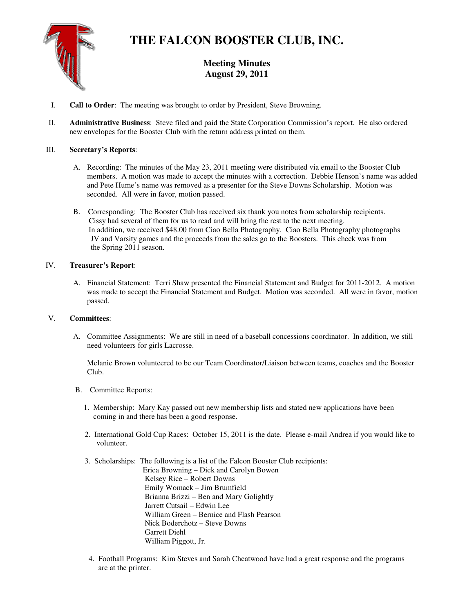

# **THE FALCON BOOSTER CLUB, INC.**

# **Meeting Minutes August 29, 2011**

- I. **Call to Order**: The meeting was brought to order by President, Steve Browning.
- II. **Administrative Business**: Steve filed and paid the State Corporation Commission's report. He also ordered new envelopes for the Booster Club with the return address printed on them.

## III. **Secretary's Reports**:

- A. Recording: The minutes of the May 23, 2011 meeting were distributed via email to the Booster Club members. A motion was made to accept the minutes with a correction. Debbie Henson's name was added and Pete Hume's name was removed as a presenter for the Steve Downs Scholarship. Motion was seconded. All were in favor, motion passed.
- B. Corresponding: The Booster Club has received six thank you notes from scholarship recipients. Cissy had several of them for us to read and will bring the rest to the next meeting. In addition, we received \$48.00 from Ciao Bella Photography. Ciao Bella Photography photographs JV and Varsity games and the proceeds from the sales go to the Boosters. This check was from the Spring 2011 season.

### IV. **Treasurer's Report**:

A. Financial Statement: Terri Shaw presented the Financial Statement and Budget for 2011-2012. A motion was made to accept the Financial Statement and Budget. Motion was seconded. All were in favor, motion passed.

### V. **Committees**:

A. Committee Assignments: We are still in need of a baseball concessions coordinator. In addition, we still need volunteers for girls Lacrosse.

Melanie Brown volunteered to be our Team Coordinator/Liaison between teams, coaches and the Booster Club.

- B. Committee Reports:
	- 1. Membership: Mary Kay passed out new membership lists and stated new applications have been coming in and there has been a good response.
	- 2. International Gold Cup Races: October 15, 2011 is the date. Please e-mail Andrea if you would like to volunteer.
	- 3. Scholarships: The following is a list of the Falcon Booster Club recipients: Erica Browning – Dick and Carolyn Bowen Kelsey Rice – Robert Downs Emily Womack – Jim Brumfield Brianna Brizzi – Ben and Mary Golightly Jarrett Cutsail – Edwin Lee William Green – Bernice and Flash Pearson Nick Boderchotz – Steve Downs Garrett Diehl William Piggott, Jr.
	- 4. Football Programs: Kim Steves and Sarah Cheatwood have had a great response and the programs are at the printer.